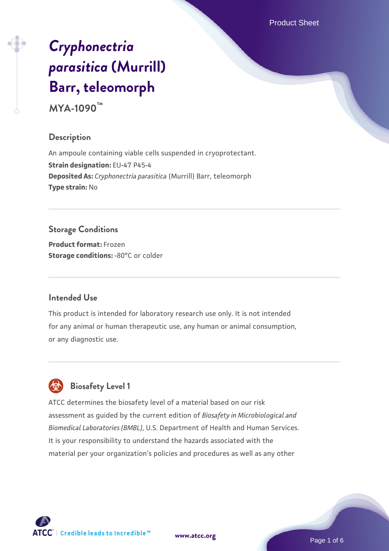Product Sheet

# *[Cryphonectria](https://www.atcc.org/products/mya-1090) [parasitica](https://www.atcc.org/products/mya-1090)* **[\(Murrill\)](https://www.atcc.org/products/mya-1090) [Barr, teleomorph](https://www.atcc.org/products/mya-1090)**

**MYA-1090™**

# **Description**

An ampoule containing viable cells suspended in cryoprotectant. **Strain designation:** EU-47 P45-4 **Deposited As:** *Cryphonectria parasitica* (Murrill) Barr, teleomorph **Type strain:** No

# **Storage Conditions**

**Product format:** Frozen **Storage conditions: -80°C** or colder

## **Intended Use**

This product is intended for laboratory research use only. It is not intended for any animal or human therapeutic use, any human or animal consumption, or any diagnostic use.



# **Biosafety Level 1**

ATCC determines the biosafety level of a material based on our risk assessment as guided by the current edition of *Biosafety in Microbiological and Biomedical Laboratories (BMBL)*, U.S. Department of Health and Human Services. It is your responsibility to understand the hazards associated with the material per your organization's policies and procedures as well as any other

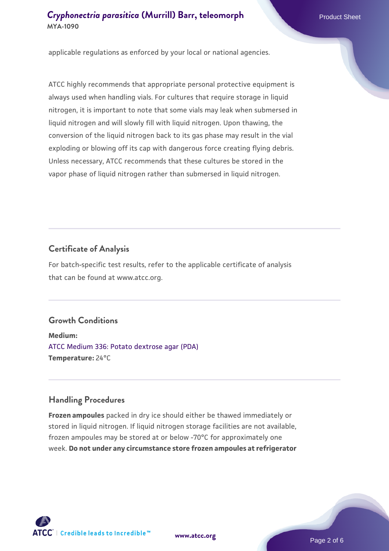applicable regulations as enforced by your local or national agencies.

ATCC highly recommends that appropriate personal protective equipment is always used when handling vials. For cultures that require storage in liquid nitrogen, it is important to note that some vials may leak when submersed in liquid nitrogen and will slowly fill with liquid nitrogen. Upon thawing, the conversion of the liquid nitrogen back to its gas phase may result in the vial exploding or blowing off its cap with dangerous force creating flying debris. Unless necessary, ATCC recommends that these cultures be stored in the vapor phase of liquid nitrogen rather than submersed in liquid nitrogen.

## **Certificate of Analysis**

For batch-specific test results, refer to the applicable certificate of analysis that can be found at www.atcc.org.

# **Growth Conditions**

**Medium:**  [ATCC Medium 336: Potato dextrose agar \(PDA\)](https://www.atcc.org/-/media/product-assets/documents/microbial-media-formulations/3/3/6/atcc-medium-336.pdf?rev=d9160ad44d934cd8b65175461abbf3b9) **Temperature:** 24°C

#### **Handling Procedures**

**Frozen ampoules** packed in dry ice should either be thawed immediately or stored in liquid nitrogen. If liquid nitrogen storage facilities are not available, frozen ampoules may be stored at or below -70°C for approximately one week. **Do not under any circumstance store frozen ampoules at refrigerator**



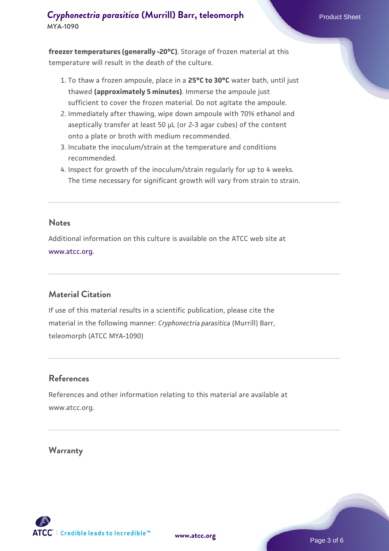**freezer temperatures (generally -20°C)**. Storage of frozen material at this temperature will result in the death of the culture.

- 1. To thaw a frozen ampoule, place in a **25°C to 30°C** water bath, until just thawed **(approximately 5 minutes)**. Immerse the ampoule just sufficient to cover the frozen material. Do not agitate the ampoule.
- 2. Immediately after thawing, wipe down ampoule with 70% ethanol and aseptically transfer at least 50 µL (or 2-3 agar cubes) of the content onto a plate or broth with medium recommended.
- 3. Incubate the inoculum/strain at the temperature and conditions recommended.
- 4. Inspect for growth of the inoculum/strain regularly for up to 4 weeks. The time necessary for significant growth will vary from strain to strain.

#### **Notes**

Additional information on this culture is available on the ATCC web site at [www.atcc.org.](http://www.atcc.org/)

# **Material Citation**

If use of this material results in a scientific publication, please cite the material in the following manner: *Cryphonectria parasitica* (Murrill) Barr, teleomorph (ATCC MYA-1090)

#### **References**

References and other information relating to this material are available at www.atcc.org.

#### **Warranty**

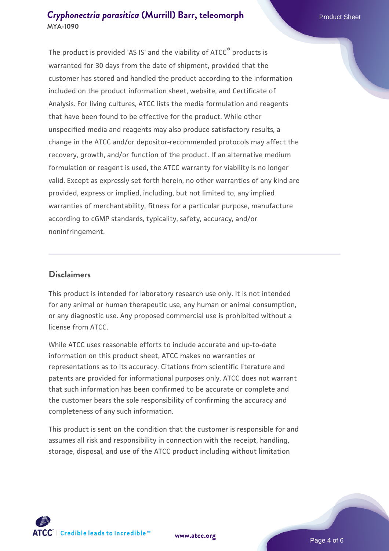The product is provided 'AS IS' and the viability of ATCC® products is warranted for 30 days from the date of shipment, provided that the customer has stored and handled the product according to the information included on the product information sheet, website, and Certificate of Analysis. For living cultures, ATCC lists the media formulation and reagents that have been found to be effective for the product. While other unspecified media and reagents may also produce satisfactory results, a change in the ATCC and/or depositor-recommended protocols may affect the recovery, growth, and/or function of the product. If an alternative medium formulation or reagent is used, the ATCC warranty for viability is no longer valid. Except as expressly set forth herein, no other warranties of any kind are provided, express or implied, including, but not limited to, any implied warranties of merchantability, fitness for a particular purpose, manufacture according to cGMP standards, typicality, safety, accuracy, and/or noninfringement.

#### **Disclaimers**

This product is intended for laboratory research use only. It is not intended for any animal or human therapeutic use, any human or animal consumption, or any diagnostic use. Any proposed commercial use is prohibited without a license from ATCC.

While ATCC uses reasonable efforts to include accurate and up-to-date information on this product sheet, ATCC makes no warranties or representations as to its accuracy. Citations from scientific literature and patents are provided for informational purposes only. ATCC does not warrant that such information has been confirmed to be accurate or complete and the customer bears the sole responsibility of confirming the accuracy and completeness of any such information.

This product is sent on the condition that the customer is responsible for and assumes all risk and responsibility in connection with the receipt, handling, storage, disposal, and use of the ATCC product including without limitation



**[www.atcc.org](http://www.atcc.org)**

Page 4 of 6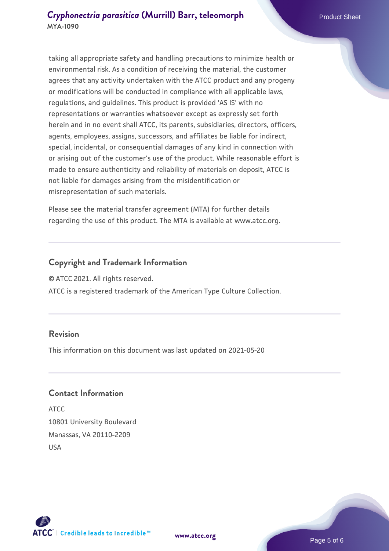taking all appropriate safety and handling precautions to minimize health or environmental risk. As a condition of receiving the material, the customer agrees that any activity undertaken with the ATCC product and any progeny or modifications will be conducted in compliance with all applicable laws, regulations, and guidelines. This product is provided 'AS IS' with no representations or warranties whatsoever except as expressly set forth herein and in no event shall ATCC, its parents, subsidiaries, directors, officers, agents, employees, assigns, successors, and affiliates be liable for indirect, special, incidental, or consequential damages of any kind in connection with or arising out of the customer's use of the product. While reasonable effort is made to ensure authenticity and reliability of materials on deposit, ATCC is not liable for damages arising from the misidentification or misrepresentation of such materials.

Please see the material transfer agreement (MTA) for further details regarding the use of this product. The MTA is available at www.atcc.org.

#### **Copyright and Trademark Information**

© ATCC 2021. All rights reserved.

ATCC is a registered trademark of the American Type Culture Collection.

#### **Revision**

This information on this document was last updated on 2021-05-20

#### **Contact Information**

ATCC 10801 University Boulevard Manassas, VA 20110-2209 USA